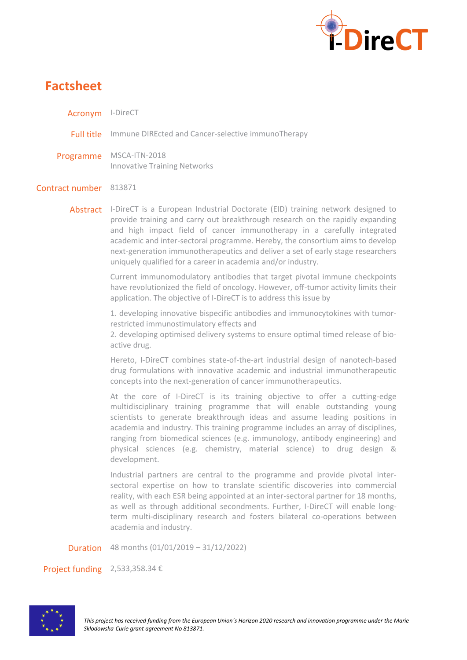

## **Factsheet**

Acronym I-DireCT

Full title Immune DIREcted and Cancer-selective immunoTherapy

Programme MSCA-ITN-2018 Innovative Training Networks

## Contract number 813871

Abstract I-DireCT is a European Industrial Doctorate (EID) training network designed to provide training and carry out breakthrough research on the rapidly expanding and high impact field of cancer immunotherapy in a carefully integrated academic and inter-sectoral programme. Hereby, the consortium aims to develop next-generation immunotherapeutics and deliver a set of early stage researchers uniquely qualified for a career in academia and/or industry.

> Current immunomodulatory antibodies that target pivotal immune checkpoints have revolutionized the field of oncology. However, off-tumor activity limits their application. The objective of I-DireCT is to address this issue by

> 1. developing innovative bispecific antibodies and immunocytokines with tumorrestricted immunostimulatory effects and

> 2. developing optimised delivery systems to ensure optimal timed release of bioactive drug.

> Hereto, I-DireCT combines state-of-the-art industrial design of nanotech-based drug formulations with innovative academic and industrial immunotherapeutic concepts into the next-generation of cancer immunotherapeutics.

> At the core of I-DireCT is its training objective to offer a cutting-edge multidisciplinary training programme that will enable outstanding young scientists to generate breakthrough ideas and assume leading positions in academia and industry. This training programme includes an array of disciplines, ranging from biomedical sciences (e.g. immunology, antibody engineering) and physical sciences (e.g. chemistry, material science) to drug design & development.

> Industrial partners are central to the programme and provide pivotal intersectoral expertise on how to translate scientific discoveries into commercial reality, with each ESR being appointed at an inter-sectoral partner for 18 months, as well as through additional secondments. Further, I-DireCT will enable longterm multi-disciplinary research and fosters bilateral co-operations between academia and industry.

Duration 48 months (01/01/2019 – 31/12/2022)

Project funding 2,533,358.34 €